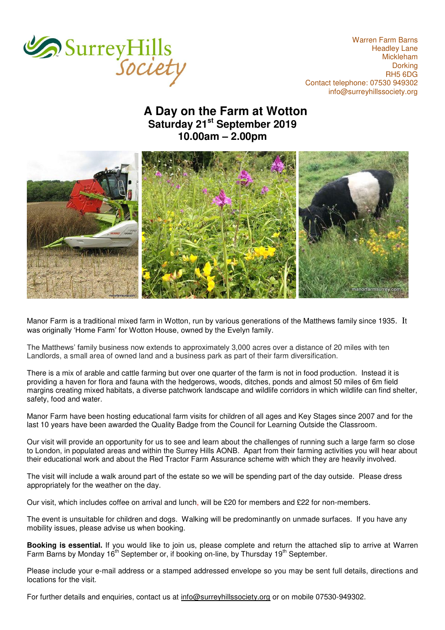

Warren Farm Barns Headley Lane Mickleham **Dorking** RH5 6DG Contact telephone: 07530 949302 [info@surreyhillssociety.org](mailto:chairman@surreyhillssociety.org)

## **A Day on the Farm at Wotton Saturday 21st September 2019 10.00am – 2.00pm**



Manor Farm is a traditional mixed farm in Wotton, run by various generations of the Matthews family since 1935. It was originally 'Home Farm' for Wotton House, owned by the Evelyn family.

The Matthews' family business now extends to approximately 3,000 acres over a distance of 20 miles with ten Landlords, a small area of owned land and a business park as part of their farm diversification.

There is a mix of arable and cattle farming but over one quarter of the farm is not in food production. Instead it is providing a haven for flora and fauna with the hedgerows, woods, ditches, ponds and almost 50 miles of 6m field margins creating mixed habitats, a diverse patchwork landscape and wildlife corridors in which wildlife can find shelter, safety, food and water.

Manor Farm have been hosting educational farm visits for children of all ages and Key Stages since 2007 and for the last 10 years have been awarded the Quality Badge from the Council for Learning Outside the Classroom.

Our visit will provide an opportunity for us to see and learn about the challenges of running such a large farm so close to London, in populated areas and within the Surrey Hills AONB. Apart from their farming activities you will hear about their educational work and about the Red Tractor Farm Assurance scheme with which they are heavily involved.

The visit will include a walk around part of the estate so we will be spending part of the day outside. Please dress appropriately for the weather on the day.

Our visit, which includes coffee on arrival and lunch, will be £20 for members and £22 for non-members.

The event is unsuitable for children and dogs. Walking will be predominantly on unmade surfaces. If you have any mobility issues, please advise us when booking.

**Booking is essential.** If you would like to join us, please complete and return the attached slip to arrive at Warren Farm Barns by Monday 16<sup>th</sup> September or, if booking on-line, by Thursday 19<sup>th</sup> September.

Please include your e-mail address or a stamped addressed envelope so you may be sent full details, directions and locations for the visit.

For further details and enquiries, contact us at [info@surreyhillssociety.org](mailto:info@surreyhillssociety.org) or on mobile 07530-949302.